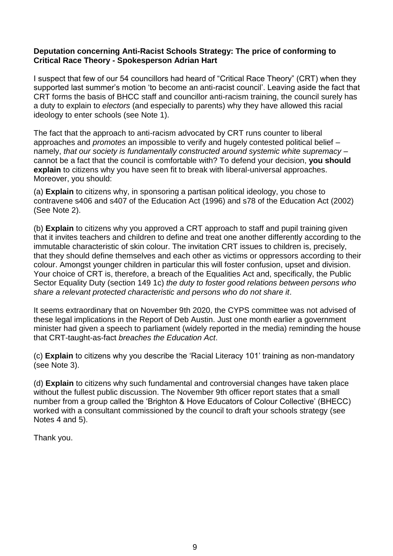## **Deputation concerning Anti-Racist Schools Strategy: The price of conforming to Critical Race Theory - Spokesperson Adrian Hart**

I suspect that few of our 54 councillors had heard of "Critical Race Theory" (CRT) when they supported last summer's motion 'to become an anti-racist council'. Leaving aside the fact that CRT forms the basis of BHCC staff and councillor anti-racism training, the council surely has a duty to explain to *electors* (and especially to parents) why they have allowed this racial ideology to enter schools (see Note 1).

The fact that the approach to anti-racism advocated by CRT runs counter to liberal approaches and *promotes* an impossible to verify and hugely contested political belief – namely, *that our society is fundamentally constructed around systemic white supremacy –* cannot be a fact that the council is comfortable with? To defend your decision, **you should explain** to citizens why you have seen fit to break with liberal-universal approaches. Moreover, you should:

(a) **Explain** to citizens why, in sponsoring a partisan political ideology, you chose to contravene s406 and s407 of the Education Act (1996) and s78 of the Education Act (2002) (See Note 2).

(b) **Explain** to citizens why you approved a CRT approach to staff and pupil training given that it invites teachers and children to define and treat one another differently according to the immutable characteristic of skin colour. The invitation CRT issues to children is, precisely, that they should define themselves and each other as victims or oppressors according to their colour. Amongst younger children in particular this will foster confusion, upset and division. Your choice of CRT is, therefore, a breach of the Equalities Act and, specifically, the Public Sector Equality Duty (section 149 1c) *the duty to foster good relations between persons who share a relevant protected characteristic and persons who do not share it*.

It seems extraordinary that on November 9th 2020, the CYPS committee was not advised of these legal implications in the Report of Deb Austin. Just one month earlier a government minister had given a speech to parliament (widely reported in the media) reminding the house that CRT-taught-as-fact *breaches the Education Act*.

(c) **Explain** to citizens why you describe the 'Racial Literacy 101' training as non-mandatory (see Note 3).

(d) **Explain** to citizens why such fundamental and controversial changes have taken place without the fullest public discussion. The November 9th officer report states that a small number from a group called the 'Brighton & Hove Educators of Colour Collective' (BHECC) worked with a consultant commissioned by the council to draft your schools strategy (see Notes 4 and 5).

Thank you.